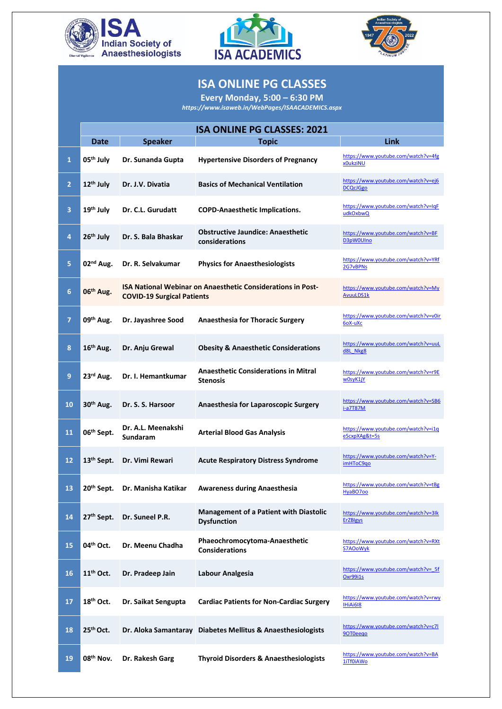





## **ISA ONLINE PG CLASSES**

**Every Monday, 5:00 – 6:30 PM**

*<https://www.isaweb.in/WebPages/ISAACADEMICS.aspx>*

|                         | <b>ISA ONLINE PG CLASSES: 2021</b> |                                                                                                         |                                                                     |                                                        |  |  |
|-------------------------|------------------------------------|---------------------------------------------------------------------------------------------------------|---------------------------------------------------------------------|--------------------------------------------------------|--|--|
|                         | <b>Date</b>                        | <b>Speaker</b>                                                                                          | <b>Topic</b>                                                        | <b>Link</b>                                            |  |  |
| $\mathbf{1}$            | $05th$ July                        | Dr. Sunanda Gupta                                                                                       | <b>Hypertensive Disorders of Pregnancy</b>                          | https://www.youtube.com/watch?v=4fg<br>x0ukziNU        |  |  |
| $\overline{2}$          | $12th$ July                        | Dr. J.V. Divatia                                                                                        | <b>Basics of Mechanical Ventilation</b>                             | https://www.youtube.com/watch?v=ej6<br><b>DCQcJGgo</b> |  |  |
| $\overline{\mathbf{3}}$ | $19th$ July                        | Dr. C.L. Gurudatt                                                                                       | <b>COPD-Anaesthetic Implications.</b>                               | https://www.youtube.com/watch?v=IqF<br>udkOxbwQ        |  |  |
| $\overline{4}$          | $26th$ July                        | Dr. S. Bala Bhaskar                                                                                     | <b>Obstructive Jaundice: Anaesthetic</b><br>considerations          | https://www.youtube.com/watch?v=BF<br>D3pW0UIno        |  |  |
| 5                       | 02 <sup>nd</sup> Aug.              | Dr. R. Selvakumar                                                                                       | <b>Physics for Anaesthesiologists</b>                               | https://www.youtube.com/watch?v=YRf<br>2G7vBPNs        |  |  |
| $6\phantom{1}6$         | 06 <sup>th</sup> Aug.              | <b>ISA National Webinar on Anaesthetic Considerations in Post-</b><br><b>COVID-19 Surgical Patients</b> |                                                                     | https://www.youtube.com/watch?v=My<br><b>AvuuLDS1k</b> |  |  |
| 7                       | $09th$ Aug.                        | Dr. Jayashree Sood                                                                                      | <b>Anaesthesia for Thoracic Surgery</b>                             | https://www.youtube.com/watch?v=v0ir<br>6oX-uXc        |  |  |
| 8                       | $16th$ Aug.                        | Dr. Anju Grewal                                                                                         | <b>Obesity &amp; Anaesthetic Considerations</b>                     | https://www.youtube.com/watch?v=uuL<br>d8L Nkg8        |  |  |
| 9                       | $23rd$ Aug.                        | Dr. I. Hemantkumar                                                                                      | <b>Anaesthetic Considerations in Mitral</b><br><b>Stenosis</b>      | https://www.youtube.com/watch?v=r9E<br>w0syK1jY        |  |  |
| <b>10</b>               | $30th$ Aug.                        | Dr. S. S. Harsoor                                                                                       | <b>Anaesthesia for Laparoscopic Surgery</b>                         | https://www.youtube.com/watch?v=SB6<br>i-a7T87M        |  |  |
| 11                      | 06 <sup>th</sup> Sept.             | Dr. A.L. Meenakshi<br><b>Sundaram</b>                                                                   | <b>Arterial Blood Gas Analysis</b>                                  | https://www.youtube.com/watch?v=i1q<br>eScxpXAg&t=5s   |  |  |
| 12                      | 13 <sup>th</sup> Sept.             | Dr. Vimi Rewari                                                                                         | <b>Acute Respiratory Distress Syndrome</b>                          | https://www.youtube.com/watch?v=Y-<br>imHToC9qo        |  |  |
| 13                      | 20 <sup>th</sup> Sept.             | Dr. Manisha Katikar                                                                                     | <b>Awareness during Anaesthesia</b>                                 | https://www.youtube.com/watch?v=tBg<br>HyaBO700        |  |  |
| 14                      | 27 <sup>th</sup> Sept.             | Dr. Suneel P.R.                                                                                         | <b>Management of a Patient with Diastolic</b><br><b>Dysfunction</b> | https://www.youtube.com/watch?v=3lk<br><b>ErZBIgys</b> |  |  |
| 15                      | $04th$ Oct.                        | Dr. Meenu Chadha                                                                                        | Phaeochromocytoma-Anaesthetic<br><b>Considerations</b>              | https://www.youtube.com/watch?v=RXt<br><b>S7AOoWyk</b> |  |  |
| <b>16</b>               | $11th$ Oct.                        | Dr. Pradeep Jain                                                                                        | Labour Analgesia                                                    | https://www.youtube.com/watch?v= 5f<br>Oxr99i1s        |  |  |
| 17                      | $18th$ Oct.                        | Dr. Saikat Sengupta                                                                                     | <b>Cardiac Patients for Non-Cardiac Surgery</b>                     | https://www.youtube.com/watch?v=rwy<br>IHiAi618        |  |  |
| 18                      | 25 <sup>th</sup> Oct.              |                                                                                                         | Dr. Aloka Samantaray Diabetes Mellitus & Anaesthesiologists         | https://www.youtube.com/watch?v=c7l<br>90T0eego        |  |  |
| 19                      | $08th$ Nov.                        | Dr. Rakesh Garg                                                                                         | <b>Thyroid Disorders &amp; Anaesthesiologists</b>                   | https://www.youtube.com/watch?v=BA<br>1iTf0iAWo        |  |  |